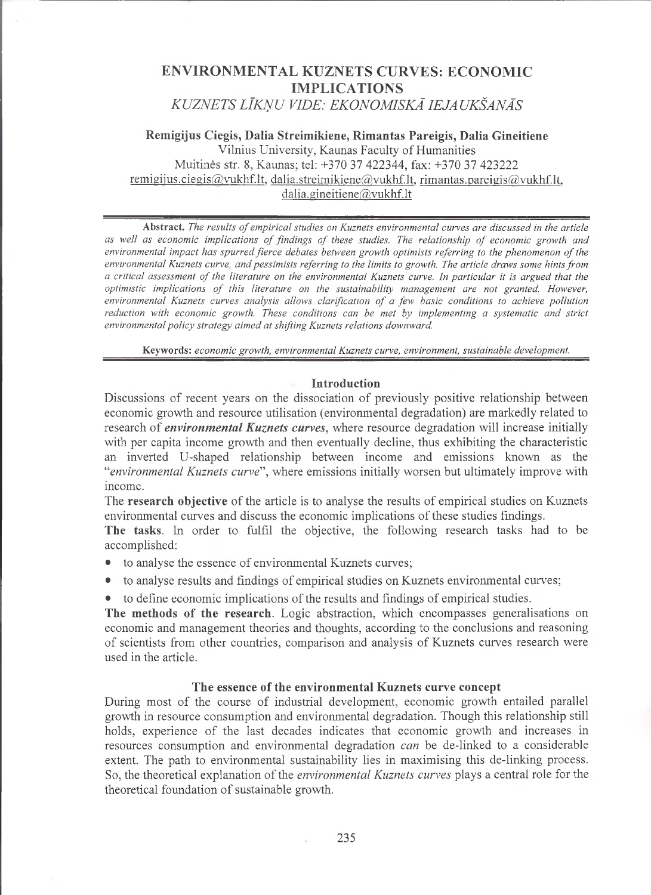# **ENVIRONMENTAL KUZNETS CURVES: ECONOMIC IMPLICATIONS** *KUZNETS LĪKŅU VIDE: EKONOMISKĀ IEJAUKŠANĀS*

# **Remigijus Ciegis, Dalia Streimikiene, Rimantas Pareigis, Dalia Gineitiene** Vilnius University, Kaunas Faculty of Humanities Muitines str. 8, Kaunas; tel: +370 37 422344, fax: +370 37 423222 [remigiius.ciegis@vukhf.lt.](mailto:remigiius.ciegis@vukhf.lt) [dalia.streimikiene@vukhf.lt](mailto:dalia.streimikiene@vukhf.lt). [rimantas.pareigis@vukhf.lt](mailto:rimantas.pareigis@vukhf.lt). [dalia.gineitiene@vukhf.lt](mailto:dalia.gineitiene@vukhf.lt)

**Abstract.** *The results of empirical studies on Kuznets environmental curves are discussed in the article* as well as economic implications of findings of these studies. The relationship of economic growth and *environmental impact has spurred fierce debates between growth optimists referring to the phenomenon of the environmental Kuznets curve, and pessimists referring to the limits to growth. The article draws some hints from a critical assessment of the literature on the environmental Kuznets curve. In particular it is argued that the optimistic implications of this literature on the sustainability management are not granted. However, environmental Kuznets curves analysis allows clarification of a few basic conditions to achieve pollution reduction with economic growth. These conditions can be met by implementing a systematic and strict environmental policy strategy aimed at shifting Kuznets relations downward.*

**Keywords:** *economic growth, environmental Kuznets curve, environment, sustainable development.*

### **Introduction**

Discussions of recent years on the dissociation of previously positive relationship between economic growth and resource utilisation (environmental degradation) are markedly related to research of *environmental Kuznets curves,* where resource degradation will increase initially with per capita income growth and then eventually decline, thus exhibiting the characteristic an inverted U-shaped relationship between income and emissions known as the *"environmental Kuznets curve*", where emissions initially worsen but ultimately improve with income.

The **research objective** of the article is to analyse the results of empirical studies on Kuznets environmental curves and discuss the economic implications of these studies findings.

**The tasks.** In order to fulfil the objective, the following research tasks had to be accomplished:

- to analyse the essence of environmental Kuznets curves;
- to analyse results and findings of empirical studies on Kuznets environmental curves;
- to define economic implications of the results and findings of empirical studies.

**The methods of the research.** Logic abstraction, which encompasses generalisations on economic and management theories and thoughts, according to the conclusions and reasoning of scientists from other countries, comparison and analysis of Kuznets curves research were used in the article.

### **The essence of the environmental Kuznets curve concept**

During most of the course of industrial development, economic growth entailed parallel growth in resource consumption and environmental degradation. Though this relationship still holds, experience of the last decades indicates that economic growth and increases in resources consumption and environmental degradation *can* be de-linked to a considerable extent. The path to environmental sustainability lies in maximising this de-linking process. So, the theoretical explanation of the *environmental Kuznets curves* plays a central role for the theoretical foundation of sustainable growth.

235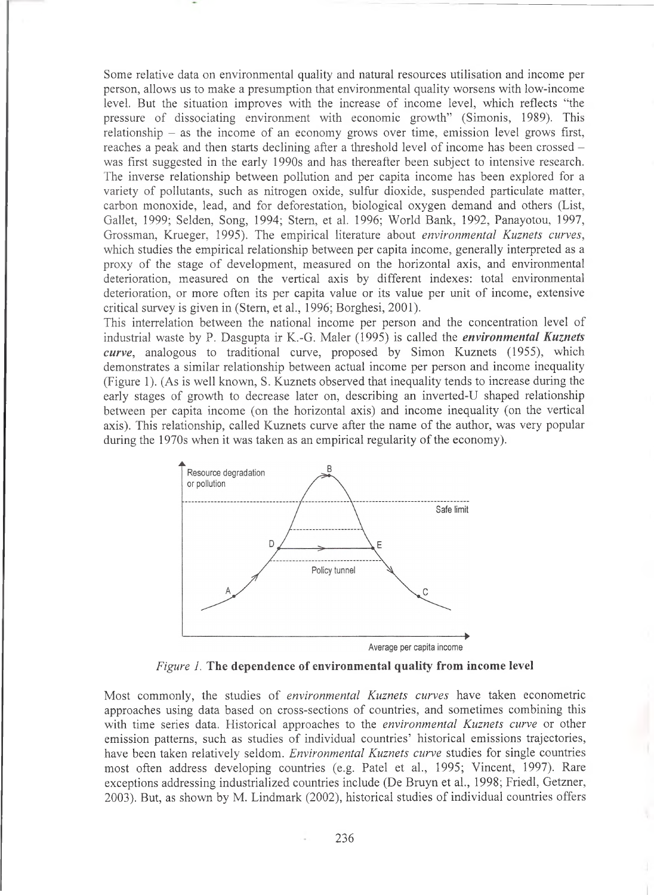Some relative data on environmental quality and natural resources utilisation and income per person, allows us to make a presumption that environmental quality worsens with low-income level. But the situation improves with the increase of income level, which reflects "the pressure of dissociating environment with economic growth" (Simonis, 1989). This  $relationship - as the income of an economy grows over time, emission level grows first,$ reaches a peak and then starts declining after a threshold level of income has been crossed – was first suggested in the early 1990s and has thereafter been subject to intensive research. The inverse relationship between pollution and per capita income has been explored for a variety of pollutants, such as nitrogen oxide, sulfur dioxide, suspended particulate matter, carbon monoxide, lead, and for deforestation, biological oxygen demand and others (List, Gallet, 1999; Selden, Song, 1994; Stem, et al. 1996; World Bank, 1992, Panayotou, 1997, Grossman, Krueger, 1995). The empirical literature about *environmental Kuznets curves,* which studies the empirical relationship between per capita income, generally interpreted as a proxy of the stage of development, measured on the horizontal axis, and environmental deterioration, measured on the vertical axis by different indexes: total environmental deterioration, or more often its per capita value or its value per unit of income, extensive critical survey is given in (Stem, et al., 1996; Borghesi, 2001).

This interrelation between the national income per person and the concentration level of industrial waste by P. Dasgupta ir K.-G. Maler (1995) is called the *environmental Kuznets curve,* analogous to traditional curve, proposed by Simon Kuznets (1955), which demonstrates a similar relationship between actual income per person and income inequality (Figure 1). (As is well known, S. Kuznets observed that inequality tends to increase during the early stages of growth to decrease later on, describing an inverted-U shaped relationship between per capita income (on the horizontal axis) and income inequality (on the vertical axis). This relationship, called Kuznets curve after the name of the author, was very popular during the 1970s when it was taken as an empirical regularity of the economy).



Average per capita income

*Figure 1.* **The dependence of environmental quality from income level**

Most commonly, the studies of *environmental Kuznets curves* have taken econometric approaches using data based on cross-sections of countries, and sometimes combining this with time series data. Historical approaches to the *environmental Kuznets curve* or other emission patterns, such as studies of individual countries' historical emissions trajectories, have been taken relatively seldom. *Environmental Kuznets curve* studies for single countries most often address developing countries (e.g. Patel et al., 1995; Vincent, 1997). Rare exceptions addressing industrialized countries include (De Bruyn et al., 1998; Friedl, Getzner, 2003). But, as shown by M. Lindmark (2002), historical studies of individual countries offers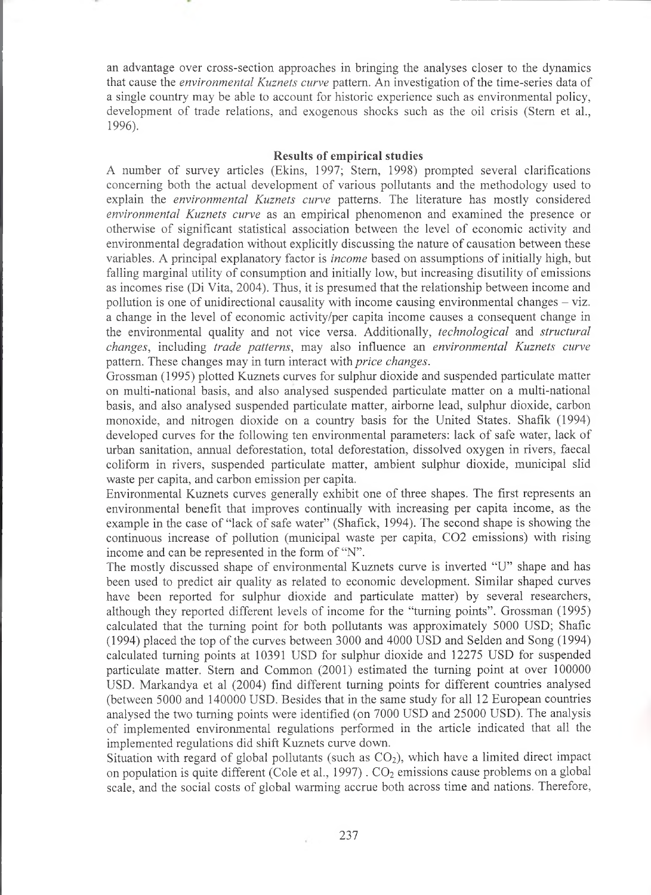an advantage over cross-section approaches in bringing the analyses closer to the dynamics that cause the *environmental Kuznets curve* pattern. An investigation of the time-series data of a single country may be able to account for historic experience such as environmental policy, development of trade relations, and exogenous shocks such as the oil crisis (Stern et ah, 1996).

## **Results of empirical studies**

A number of survey articles (Ekins, 1997; Stern, 1998) prompted several clarifications concerning both the actual development of various pollutants and the methodology used to explain the *environmental Kuznets curve* patterns. The literature has mostly considered *environmental Kuznets curve* as an empirical phenomenon and examined the presence or otherwise of significant statistical association between the level of economic activity and environmental degradation without explicitly discussing the nature of causation between these variables. A principal explanatory factor is *income* based on assumptions of initially high, but falling marginal utility of consumption and initially low, but increasing disutility of emissions as incomes rise (Di Vita, 2004). Thus, it is presumed that the relationship between income and pollution is one of unidirectional causality with income causing environmental changes  $-$  viz. a change in the level of economic activity/per capita income causes a consequent change in the environmental quality and not vice versa. Additionally, *technological* and *structural changes,* including *trade patterns,* may also influence an *environmental Kuznets curve* pattern. These changes may in turn interact with *price changes.*

Grossman (1995) plotted Kuznets curves for sulphur dioxide and suspended particulate matter on multi-national basis, and also analysed suspended particulate matter on a multi-national basis, and also analysed suspended particulate matter, airborne lead, sulphur dioxide, carbon monoxide, and nitrogen dioxide on a country basis for the United States. Shafik (1994) developed curves for the following ten environmental parameters: lack of safe water, lack of urban sanitation, annual deforestation, total deforestation, dissolved oxygen in rivers, faecal coliform in rivers, suspended particulate matter, ambient sulphur dioxide, municipal slid waste per capita, and carbon emission per capita.

Environmental Kuznets curves generally exhibit one of three shapes. The first represents an environmental benefit that improves continually with increasing per capita income, as the example in the case of "lack of safe water" (Shafick, 1994). The second shape is showing the continuous increase of pollution (municipal waste per capita, CO2 emissions) with rising income and can be represented in the form of "N".

The mostly discussed shape of environmental Kuznets curve is inverted "U" shape and has been used to predict air quality as related to economic development. Similar shaped curves have been reported for sulphur dioxide and particulate matter) by several researchers, although they reported different levels of income for the "turning points". Grossman (1995) calculated that the turning point for both pollutants was approximately 5000 USD; Shafic (1994) placed the top of the curves between 3000 and 4000 USD and Selden and Song (1994) calculated turning points at 10391 USD for sulphur dioxide and 12275 USD for suspended particulate matter. Stem and Common (2001) estimated the turning point at over 100000 USD. Markandya et al (2004) find different turning points for different countries analysed (between 5000 and 140000 USD. Besides that in the same study for all 12 European countries analysed the two turning points were identified (on 7000 USD and 25000 USD). The analysis of implemented environmental regulations performed in the article indicated that all the implemented regulations did shift Kuznets curve down.

Situation with regard of global pollutants (such as  $CO<sub>2</sub>$ ), which have a limited direct impact on population is quite different (Cole et al., 1997).  $CO<sub>2</sub>$  emissions cause problems on a global scale, and the social costs of global warming accrue both across time and nations. Therefore,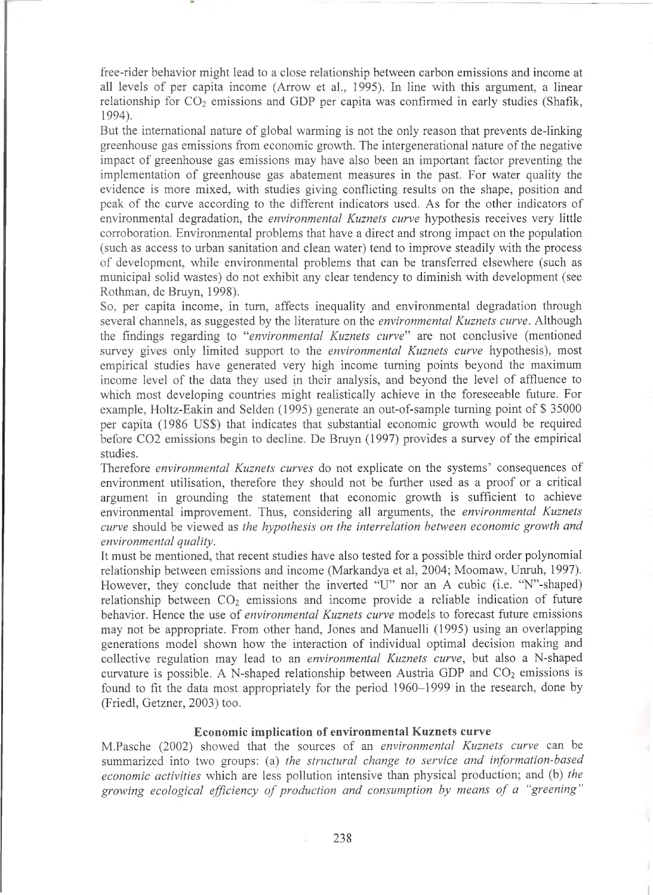free-rider behavior might lead to a close relationship between carbon emissions and income at all levels of per capita income (Arrow et ah, 1995). In line with this argument, a linear relationship for  $CO<sub>2</sub>$  emissions and GDP per capita was confirmed in early studies (Shafik, 1994).

But the international nature of global warming is not the only reason that prevents de-linking greenhouse gas emissions from economic growth. The intergenerational nature of the negative impact of greenhouse gas emissions may have also been an important factor preventing the implementation of greenhouse gas abatement measures in the past. For water quality the evidence is more mixed, with studies giving conflicting results on the shape, position and peak of the curve according to the different indicators used. As for the other indicators of environmental degradation, the *environmental Kuznets curve* hypothesis receives very little corroboration. Environmental problems that have a direct and strong impact on the population (such as access to urban sanitation and clean water) tend to improve steadily with the process of development, while environmental problems that can be transferred elsewhere (such as municipal solid wastes) do not exhibit any clear tendency to diminish with development (see Rothman, de Bruyn, 1998).

So, per capita income, in turn, affects inequality and environmental degradation through several channels, as suggested by the literature on the *environmental Kuznets curve.* Although the findings regarding to "*environmental Kuznets curve'"* are not conclusive (mentioned survey gives only limited support to the *environmental Kuznets curve* hypothesis), most empirical studies have generated very high income turning points beyond the maximum income level of the data they used in their analysis, and beyond the level of affluence to which most developing countries might realistically achieve in the foreseeable future. For example, Holtz-Eakin and Selden (1995) generate an out-of-sample turning point of \$ 35000 per capita (1986 US\$) that indicates that substantial economic growth would be required before CO2 emissions begin to decline. De Bruyn (1997) provides a survey of the empirical studies.

Therefore *environmental Kuznets curves* do not explicate on the systems' consequences of environment utilisation, therefore they should not be further used as a proof or a critical argument in grounding the statement that economic growth is sufficient to achieve environmental improvement. Thus, considering all arguments, the *environmental Kuznets curve* should be viewed as *the hypothesis on the interrelation between economic growth and environmental quality.*

It must be mentioned, that recent studies have also tested for a possible third order polynomial relationship between emissions and income (Markandya et al, 2004; Moomaw, Unruh, 1997). Flowever, they conclude that neither the inverted "U" nor an A cubic (i.e. "N"-shaped) relationship between  $CO<sub>2</sub>$  emissions and income provide a reliable indication of future behavior. Hence the use of *environmental Kuznets curve* models to forecast future emissions may not be appropriate. From other hand, Jones and Manuelli (1995) using an overlapping generations model shown how the interaction of individual optimal decision making and collective regulation may lead to an *environmental Kuznets curve,* but also a N-shaped curvature is possible. A N-shaped relationship between Austria GDP and  $CO<sub>2</sub>$  emissions is found to fit the data most appropriately for the period 1960-1999 in the research, done by (Friedl, Getzner, 2003) too.

#### **Economic implication of environmental Kuznets curve**

M.Pasche (2002) showed that the sources of an *environmental Kuznets curve* can be summarized into two groups: (a) *the structural change to service and information-based econom ic activities* which are less pollution intensive than physical production; and (b) *the* growing ecological efficiency of production and consumption by means of a "greening"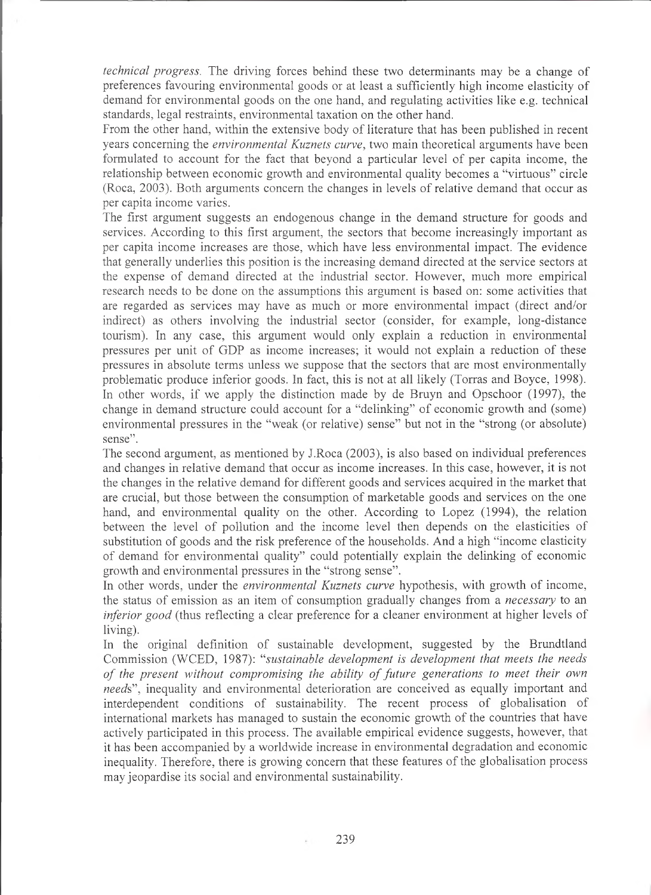*technical progress.* The driving forces behind these two determinants may be a change of preferences favouring environmental goods or at least a sufficiently high income elasticity of demand for environmental goods on the one hand, and regulating activities like e.g. technical standards, legal restraints, environmental taxation on the other hand.

From the other hand, within the extensive body of literature that has been published in recent years concerning the *environmental Kuznets carve,* two main theoretical arguments have been formulated to account for the fact that beyond a particular level of per capita income, the relationship between economic growth and environmental quality becomes a "virtuous" circle (Roca, 2003). Both arguments concern the changes in levels of relative demand that occur as per capita income varies.

The first argument suggests an endogenous change in the demand structure for goods and services. According to this first argument, the sectors that become increasingly important as per capita income increases are those, which have less environmental impact. The evidence that generally underlies this position is the increasing demand directed at the service sectors at the expense of demand directed at the industrial sector. However, much more empirical research needs to be done on the assumptions this argument is based on: some activities that are regarded as services may have as much or more environmental impact (direct and/or indirect) as others involving the industrial sector (consider, for example, long-distance tourism). In any case, this argument would only explain a reduction in environmental pressures per unit of GDP as income increases; it would not explain a reduction of these pressures in absolute terms unless we suppose that the sectors that are most environmentally problematic produce inferior goods. In fact, this is not at all likely (Torras and Boyce, 1998). In other words, if we apply the distinction made by de Bruyn and Opschoor (1997), the change in demand structure could account for a "delinking" of economic growth and (some) environmental pressures in the "weak (or relative) sense" but not in the "strong (or absolute) sense".

The second argument, as mentioned by J.Roca (2003), is also based on individual preferences and changes in relative demand that occur as income increases. In this case, however, it is not the changes in the relative demand for different goods and services acquired in the market that are crucial, but those between the consumption of marketable goods and services on the one hand, and environmental quality on the other. According to Lopez (1994), the relation between the level of pollution and the income level then depends on the elasticities of substitution of goods and the risk preference of the households. And a high "income elasticity of demand for environmental quality" could potentially explain the delinking of economic growth and environmental pressures in the "strong sense".

In other words, under the *environmental Kuznets curve* hypothesis, with growth of income, the status of emission as an item of consumption gradually changes from a *necessary* to an *inferior good* (thus reflecting a clear preference for a cleaner environment at higher levels of living).

In the original definition of sustainable development, suggested by the Brundtland Commission (WCED, 1987): "*sustainable development is development that meets the needs* of the present without compromising the ability of future generations to meet their own *needs*", inequality and environmental deterioration are conceived as equally important and interdependent conditions of sustainability. The recent process of globalisation of international markets has managed to sustain the economic growth of the countries that have actively participated in this process. The available empirical evidence suggests, however, that it has been accompanied by a worldwide increase in environmental degradation and economic inequality. Therefore, there is growing concern that these features of the globalisation process may jeopardise its social and environmental sustainability.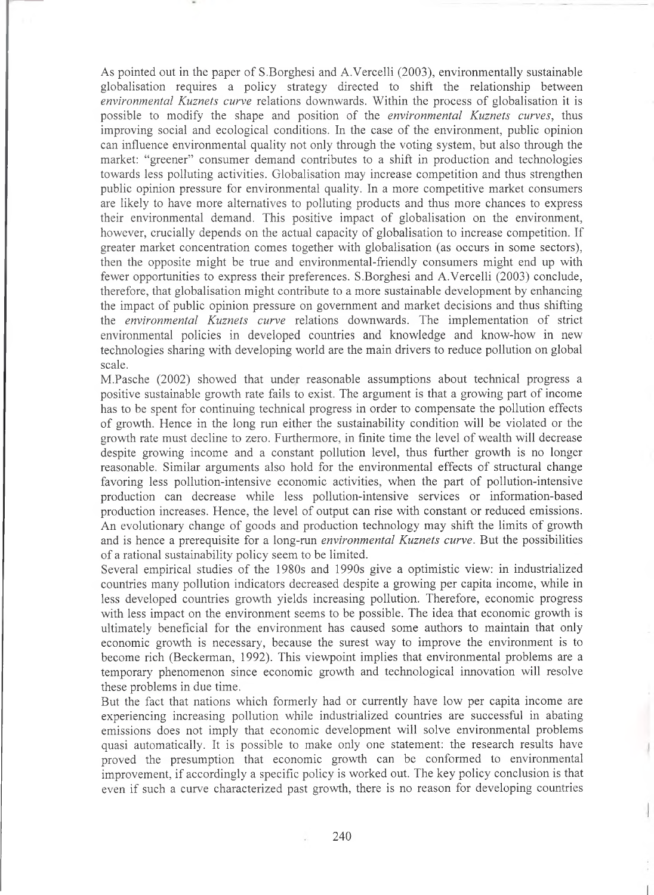As pointed out in the paper of S.Borghesi and A.Vercelli (2003), environmentally sustainable globalisation requires a policy strategy directed to shift the relationship between *environmental Kuznets curve* relations downwards. Within the process of globalisation it is possible to modify the shape and position of the *environmental Kuznets curves,* thus improving social and ecological conditions. In the case of the environment, public opinion can influence environmental quality not only through the voting system, but also through the market: "greener" consumer demand contributes to a shift in production and technologies towards less polluting activities. Globalisation may increase competition and thus strengthen public opinion pressure for environmental quality. In a more competitive market consumers are likely to have more alternatives to polluting products and thus more chances to express their environmental demand. This positive impact of globalisation on the environment, however, crucially depends on the actual capacity of globalisation to increase competition. If greater market concentration comes together with globalisation (as occurs in some sectors), then the opposite might be true and environmental-friendly consumers might end up with fewer opportunities to express their preferences. S.Borghesi and A.Vercelli (2003) conclude, therefore, that globalisation might contribute to a more sustainable development by enhancing the impact of public opinion pressure on government and market decisions and thus shifting the *environmental Kuznets curve* relations downwards. The implementation of strict environmental policies in developed countries and knowledge and know-how in new technologies sharing with developing world are the main drivers to reduce pollution on global scale.

M.Pasche (2002) showed that under reasonable assumptions about technical progress a positive sustainable growth rate fails to exist. The argument is that a growing part of income has to be spent for continuing technical progress in order to compensate the pollution effects of growth. Hence in the long run either the sustainability condition will be violated or the growth rate must decline to zero. Furthermore, in finite time the level of wealth will decrease despite growing income and a constant pollution level, thus further growth is no longer reasonable. Similar arguments also hold for the environmental effects of structural change favoring less pollution-intensive economic activities, when the part of pollution-intensive production can decrease while less pollution-intensive services or information-based production increases. Hence, the level of output can rise with constant or reduced emissions. An evolutionary change of goods and production technology may shift the limits of growth and is hence a prerequisite for a long-run *environmental Kuznets curve.* But the possibilities of a rational sustainability policy seem to be limited.

Several empirical studies of the 1980s and 1990s give a optimistic view: in industrialized countries many pollution indicators decreased despite a growing per capita income, while in less developed countries growth yields increasing pollution. Therefore, economic progress with less impact on the environment seems to be possible. The idea that economic growth is ultimately beneficial for the environment has caused some authors to maintain that only economic growth is necessary, because the surest way to improve the environment is to become rich (Beckerman, 1992). This viewpoint implies that environmental problems are a temporary phenomenon since economic growth and technological innovation will resolve these problems in due time.

But the fact that nations which formerly had or currently have low per capita income are experiencing increasing pollution while industrialized countries are successful in abating emissions does not imply that economic development will solve environmental problems quasi automatically. It is possible to make only one statement: the research results have proved the presumption that economic growth can be conformed to environmental improvement, if accordingly a specific policy is worked out. The key policy conclusion is that even if such a curve characterized past growth, there is no reason for developing countries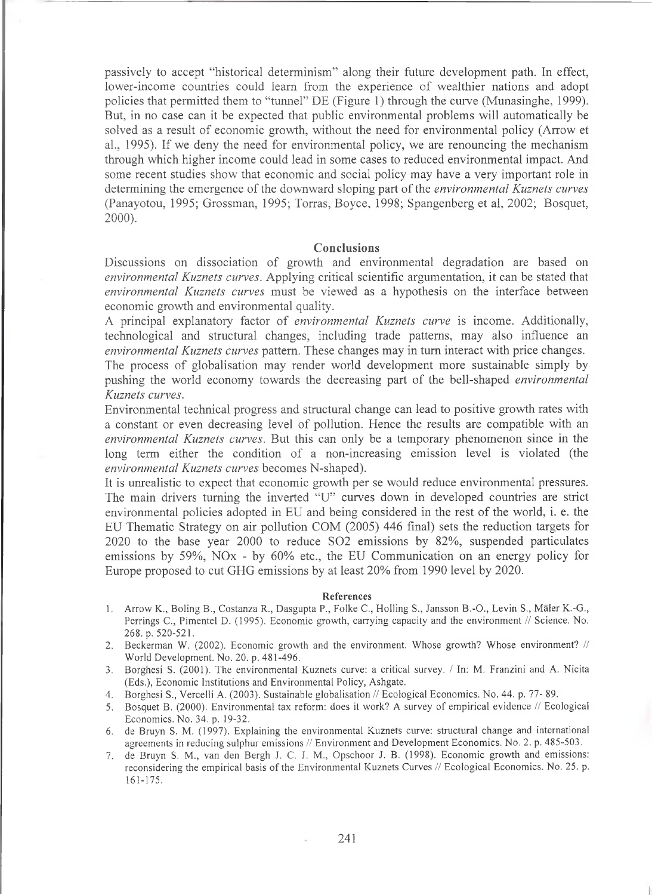passively to accept "historical determinism" along their future development path. In effect, lower-income countries could learn from the experience of wealthier nations and adopt policies that permitted them to "tunnel" DE (Figure 1) through the curve (Munasinghe, 1999). But, in no case can it be expected that public environmental problems will automatically be solved as a result of economic growth, without the need for environmental policy (Arrow et al., 1995). If we deny the need for environmental policy, we are renouncing the mechanism through which higher income could lead in some cases to reduced environmental impact. And some recent studies show that economic and social policy may have a very important role in determining the emergence of the downward sloping part of the *environmental Kuznets curves* (Panayotou, 1995; Grossman, 1995; Torras, Boyce, 1998; Spangenberg et al, 2002; Bosquet, 2000).

#### **Conclusions**

Discussions on dissociation of growth and environmental degradation are based on *environmental Kuznets curves.* Applying critical scientific argumentation, it can be stated that *environmental Kuznets curves* must be viewed as a hypothesis on the interface between economic growth and environmental quality.

A principal explanatory factor of *environmental Kuznets curve* is income. Additionally, technological and structural changes, including trade patterns, may also influence an *environmental Kuznets curves* pattern. These changes may in turn interact with price changes. The process of globalisation may render world development more sustainable simply by pushing the world economy towards the decreasing part of the bell-shaped *environmental Kuznets curves.*

Environmental technical progress and structural change can lead to positive growth rates with a constant or even decreasing level of pollution. Hence the results are compatible with an *environmental Kuznets curves.* But this can only be a temporary phenomenon since in the long term either the condition of a non-increasing emission level is violated (the *environmental Kuznets curves* becomes N-shaped).

It is unrealistic to expect that economic growth per se would reduce environmental pressures. The main drivers turning the inverted "U" curves down in developed countries are strict environmental policies adopted in EU and being considered in the rest of the world, i. e. the EU Thematic Strategy on air pollution COM (2005) 446 final) sets the reduction targets for  $2020$  to the base year  $2000$  to reduce SO2 emissions by  $82\%$ , suspended particulates emissions by 59%, NOx - by 60% etc., the EU Communication on an energy policy for Europe proposed to cut GHG emissions by at least 20% from 1990 level by 2020.

#### **References**

- **1. Arrow K., Boling B., Costanza R., Dasgupta P., Folke C., Holiing S., Jansson B.-O., Levin S., Maler K.-G., Perrings** C., **Pimentel D. (1995). Economic growth, carrying capacity and the environment // Science. No. 268. p. 520-521.**
- **2. Beckerman W. (2002). Economic growth and the environment. Whose growth? Whose environment? // World Development. No. 20. p. 481-496.**
- **3. Borghesi S. (2001). The environmental Kuznets curve: a critical survey. / In: M. Franzini and A. Nicita (Eds.), Economic Institutions and Environmental Policy, Ashgate.**
- **4. Borghesi S., Vercelli A. (2003). Sustainable globalisation // Ecological Economics. No. 44. p. 77- 89.**
- **5. Bosquet B. (2000). Environmental tax reform: does it work? A survey of empirical evidence // Ecological Economics. No. 34. p. 19-32.**
- **6. de Bruyn S. M. (1997). Explaining the environmental Kuznets curve: structural change and international agreements in reducing sulphur emissions // Environment and Development Economics. No. 2. p. 485-503.**
- **7. de Bruyn S. M., van den Bergh J. C. J. M., Opschoor J. B. (1998). Economic growth and emissions: reconsidering the empirical basis of the Environmental Kuznets Curves // Ecological Economics. No. 25. p. 161-175.**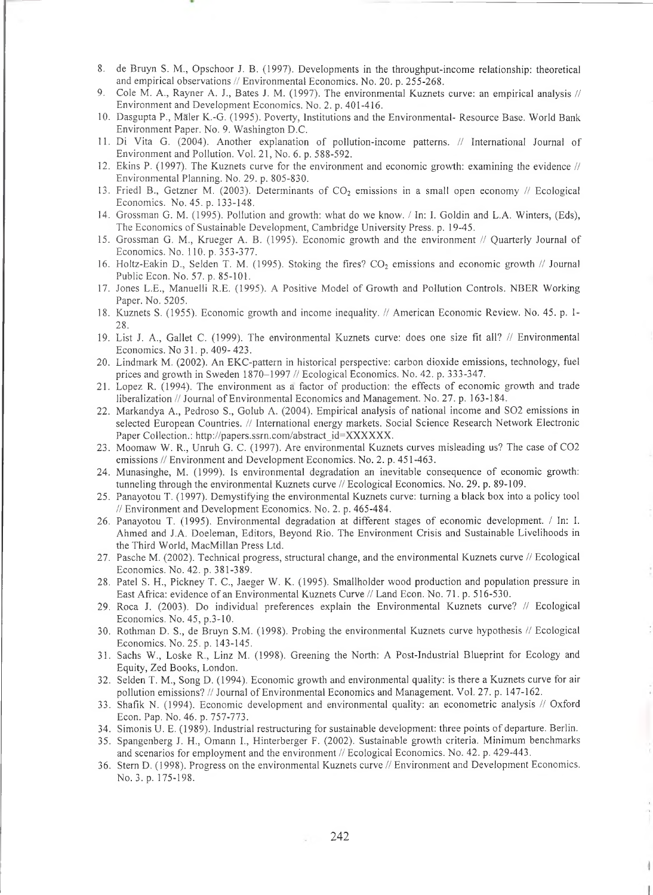- **8. de Bruyn S. M., Opschoor J. B. (1997). Developments in the throughput-income relationship: theoretical and empirical observations // Environmental Economics. No. 20. p. 255-268.**
- **9. Cole M. A., Rayner A. J., Bates J. M. (1997). The environmental Kuznets curve: an empirical analysis // Environment and Development Economics. No. 2. p. 401-416.**
- **10. Dasgupta P., Maler K.-G. (1995). Poverty, Institutions and the Environmental- Resource Base. World Bank Environment Paper. No. 9. Washington D.C.**
- **11. Di Vita G. (2004). Another explanation of pollution-income patterns. // International Journal of Environment and Pollution. Vol. 21, No. 6. p. 588-592.**
- **12. Ekins P. (1997). The Kuznets curve for the environment and economic growth: examining the evidence // Environmental Planning. No. 29. p. 805-830.**
- 13. Friedl B., Getzner M. (2003). Determinants of CO<sub>2</sub> emissions in a small open economy // Ecological **Economics. No. 45. p. 133-148.**
- **14. Grossman G. M. (1995). Pollution and growth: what do we know. / In: I. Goldin and L.A. Winters, (Eds), The Economics of Sustainable Development, Cambridge University Press, p. 19-45.**
- **15. Grossman G. M., Krueger A. B. (1995). Economic growth and the environment // Quarterly Journal of Economics. No. 110. p. 353-377.**
- 16. Holtz-Eakin D., Selden T. M. (1995). Stoking the fires? CO<sub>2</sub> emissions and economic growth // Journal **Public Econ. No. 57. p. 85-101.**
- **17. Jones L.E., Manuelli R.E. (1995). A Positive Model of Growth and Pollution Controls. NBER Working Paper. No. 5205.**
- **18. Kuznets S. (1955). Economic growth and income inequality. // American Economic Review. No. 45. p. 1- 28.**
- **19. List J. A., Gallet C. (1999). The environmental Kuznets curve: does one size fit all? // Environmental Economics. No 31. p. 409- 423.**
- **20. Lindmark M. (2002). An EKC-pattern in historical perspective: carbon dioxide emissions, technology, fuel prices and growth in Sweden 1870-1997 // Ecological Economics. No. 42. p. 333-347.**
- **21. Lopez R. (1994). The environment as a factor of production: the effects of economic growth and trade liberalization // Journal of Environmental Economics and Management. No. 27. p. 163-184.**
- **22. Markandya A., Pedroso S., Golub A. (2004). Empirical analysis of national income and S02 emissions in selected European Countries. // International energy markets. Social Science Research Network Electronic Paper Collection.: [http://papers.ssrn.com/abstract\\_id=XXXXXX](http://papers.ssrn.com/abstract_id=XXXXXX).**
- **23. Moomaw W. R., Unruh G. C. (1997). Are environmental Kuznets curves misleading us? The case of C02 emissions // Environment and Development Economics. No. 2. p. 451-463.**
- **24. Munasinghe, M. (1999). Is environmental degradation an inevitable consequence of economic growth: tunneling through the environmental Kuznets curve // Ecological Economies. No. 29. p. 89-109.**
- **25. Panayotou T. (1997). Demystifying the environmental Kuznets curve: turning a black box into a policy tool // Environment and Development Economics. No. 2. p. 465-484.**
- **26. Panayotou T. (1995). Environmental degradation at different stages of economic development. / In: I. Ahmed and J.A. Doeleman, Editors, Beyond Rio. The Environment Crisis and Sustainable Livelihoods in the Third World, MacMillan Press Ltd.**
- **27. Pasche M. (2002). Technical progress, structural change, and the environmental Kuznets curve // Ecological Economics. No. 42. p. 381-389.**
- **28. Patel S. H., Pickney T. C., Jaeger W. K. (1995). Smallholder wood production and population pressure in East Africa: evidence of an Environmental Kuznets Curve // Land Econ. No. 71. p. 516-530.**
- **29. Roca J. (2003). Do individual preferences explain the Environmental Kuznets curve? // Ecological Economics. No. 45, p.3-10.**
- **30. Rothman D. S., de Bruyn S.M. (1998). Probing the environmental Kuznets curve hypothesis // Ecological Economics. No. 25. p. 143-145.**
- **31. Sachs W., Loske R., Linz M. (1998). Greening the North: A Post-Industrial Blueprint for Ecology and Equity, Zed Books, London.**
- **32. Selden T. M., Song D. (1994). Economic growth and environmental quality: is there a Kuznets curve for air pollution emissions? //Journal of Environmental Economics and Management. Vol. 27. p. 147-162.**
- **33. Shafik N. (1994). Economic development and environmental quality: an econometric analysis // Oxford Econ. Pap. No. 46. p. 757-773.**
- **34. Simonis U. E. (1989). Industrial restructuring for sustainable development: three points of departure. Berlin.**
- **35. Spangenberg J. H., Omann I., Hinterberger F. (2002). Sustainable growth criteria. Minimum benchmarks and scenarios for employment and the environment // Ecological Economics. No. 42. p. 429-443.**
- **36. Stern D. (1998). Progress on the environmental Kuznets curve // Environment and Development Economics. No. 3. p. 175-198.**